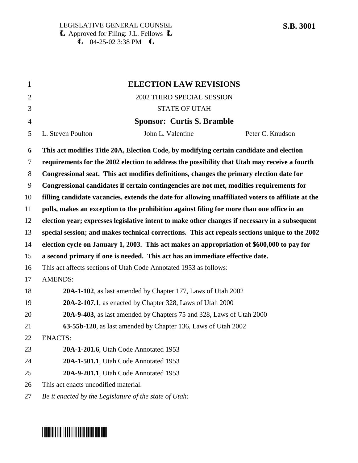| $\mathbf{1}$   |                                                                                              | <b>ELECTION LAW REVISIONS</b>                                                                      |                  |
|----------------|----------------------------------------------------------------------------------------------|----------------------------------------------------------------------------------------------------|------------------|
| $\overline{2}$ |                                                                                              | 2002 THIRD SPECIAL SESSION                                                                         |                  |
| 3              |                                                                                              | <b>STATE OF UTAH</b>                                                                               |                  |
| $\overline{4}$ |                                                                                              | <b>Sponsor: Curtis S. Bramble</b>                                                                  |                  |
| 5              | L. Steven Poulton                                                                            | John L. Valentine                                                                                  | Peter C. Knudson |
| 6              |                                                                                              | This act modifies Title 20A, Election Code, by modifying certain candidate and election            |                  |
| $\tau$         | requirements for the 2002 election to address the possibility that Utah may receive a fourth |                                                                                                    |                  |
| 8              | Congressional seat. This act modifies definitions, changes the primary election date for     |                                                                                                    |                  |
| 9              | Congressional candidates if certain contingencies are not met, modifies requirements for     |                                                                                                    |                  |
| 10             |                                                                                              | filling candidate vacancies, extends the date for allowing unaffiliated voters to affiliate at the |                  |
| 11             |                                                                                              | polls, makes an exception to the prohibition against filing for more than one office in an         |                  |
| 12             |                                                                                              | election year; expresses legislative intent to make other changes if necessary in a subsequent     |                  |
| 13             |                                                                                              | special session; and makes technical corrections. This act repeals sections unique to the 2002     |                  |
| 14             |                                                                                              | election cycle on January 1, 2003. This act makes an appropriation of \$600,000 to pay for         |                  |
| 15             |                                                                                              | a second primary if one is needed. This act has an immediate effective date.                       |                  |
| 16             |                                                                                              | This act affects sections of Utah Code Annotated 1953 as follows:                                  |                  |
| 17             | <b>AMENDS:</b>                                                                               |                                                                                                    |                  |
| 18             |                                                                                              | 20A-1-102, as last amended by Chapter 177, Laws of Utah 2002                                       |                  |
| 19             |                                                                                              | 20A-2-107.1, as enacted by Chapter 328, Laws of Utah 2000                                          |                  |
| 20             |                                                                                              | 20A-9-403, as last amended by Chapters 75 and 328, Laws of Utah 2000                               |                  |
| 21             |                                                                                              | 63-55b-120, as last amended by Chapter 136, Laws of Utah 2002                                      |                  |
| 22             | <b>ENACTS:</b>                                                                               |                                                                                                    |                  |
| 23             |                                                                                              | 20A-1-201.6, Utah Code Annotated 1953                                                              |                  |
| 24             |                                                                                              | 20A-1-501.1, Utah Code Annotated 1953                                                              |                  |
| 25             |                                                                                              | 20A-9-201.1, Utah Code Annotated 1953                                                              |                  |
| 26             | This act enacts uncodified material.                                                         |                                                                                                    |                  |
|                |                                                                                              |                                                                                                    |                  |

27 *Be it enacted by the Legislature of the state of Utah:*

# \*SB3001\*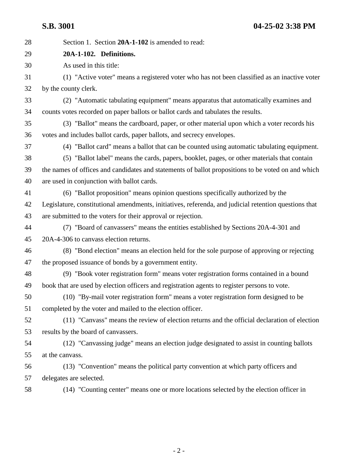**S.B. 3001 04-25-02 3:38 PM**

28 Section 1. Section **20A-1-102** is amended to read: 29 **20A-1-102. Definitions.** 30 As used in this title: 31 (1) "Active voter" means a registered voter who has not been classified as an inactive voter 32 by the county clerk. 33 (2) "Automatic tabulating equipment" means apparatus that automatically examines and 34 counts votes recorded on paper ballots or ballot cards and tabulates the results. 35 (3) "Ballot" means the cardboard, paper, or other material upon which a voter records his 36 votes and includes ballot cards, paper ballots, and secrecy envelopes. 37 (4) "Ballot card" means a ballot that can be counted using automatic tabulating equipment. 38 (5) "Ballot label" means the cards, papers, booklet, pages, or other materials that contain 39 the names of offices and candidates and statements of ballot propositions to be voted on and which 40 are used in conjunction with ballot cards. 41 (6) "Ballot proposition" means opinion questions specifically authorized by the 42 Legislature, constitutional amendments, initiatives, referenda, and judicial retention questions that 43 are submitted to the voters for their approval or rejection. 44 (7) "Board of canvassers" means the entities established by Sections 20A-4-301 and 45 20A-4-306 to canvass election returns. 46 (8) "Bond election" means an election held for the sole purpose of approving or rejecting 47 the proposed issuance of bonds by a government entity. 48 (9) "Book voter registration form" means voter registration forms contained in a bound 49 book that are used by election officers and registration agents to register persons to vote. 50 (10) "By-mail voter registration form" means a voter registration form designed to be 51 completed by the voter and mailed to the election officer. 52 (11) "Canvass" means the review of election returns and the official declaration of election 53 results by the board of canvassers. 54 (12) "Canvassing judge" means an election judge designated to assist in counting ballots 55 at the canvass. 56 (13) "Convention" means the political party convention at which party officers and 57 delegates are selected. 58 (14) "Counting center" means one or more locations selected by the election officer in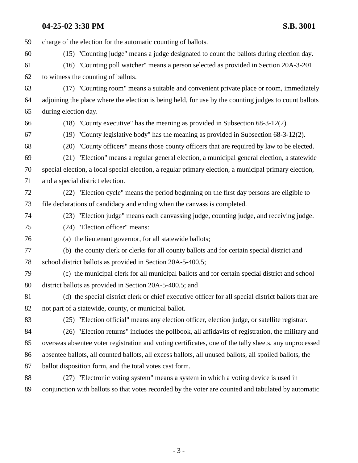59 charge of the election for the automatic counting of ballots. 60 (15) "Counting judge" means a judge designated to count the ballots during election day. 61 (16) "Counting poll watcher" means a person selected as provided in Section 20A-3-201 62 to witness the counting of ballots. 63 (17) "Counting room" means a suitable and convenient private place or room, immediately 64 adjoining the place where the election is being held, for use by the counting judges to count ballots 65 during election day. 66 (18) "County executive" has the meaning as provided in Subsection 68-3-12(2). 67 (19) "County legislative body" has the meaning as provided in Subsection 68-3-12(2). 68 (20) "County officers" means those county officers that are required by law to be elected. 69 (21) "Election" means a regular general election, a municipal general election, a statewide 70 special election, a local special election, a regular primary election, a municipal primary election, 71 and a special district election. 72 (22) "Election cycle" means the period beginning on the first day persons are eligible to 73 file declarations of candidacy and ending when the canvass is completed. 74 (23) "Election judge" means each canvassing judge, counting judge, and receiving judge. 75 (24) "Election officer" means: 76 (a) the lieutenant governor, for all statewide ballots; 77 (b) the county clerk or clerks for all county ballots and for certain special district and 78 school district ballots as provided in Section 20A-5-400.5; 79 (c) the municipal clerk for all municipal ballots and for certain special district and school 80 district ballots as provided in Section 20A-5-400.5; and 81 (d) the special district clerk or chief executive officer for all special district ballots that are 82 not part of a statewide, county, or municipal ballot. 83 (25) "Election official" means any election officer, election judge, or satellite registrar. 84 (26) "Election returns" includes the pollbook, all affidavits of registration, the military and 85 overseas absentee voter registration and voting certificates, one of the tally sheets, any unprocessed 86 absentee ballots, all counted ballots, all excess ballots, all unused ballots, all spoiled ballots, the 87 ballot disposition form, and the total votes cast form. 88 (27) "Electronic voting system" means a system in which a voting device is used in 89 conjunction with ballots so that votes recorded by the voter are counted and tabulated by automatic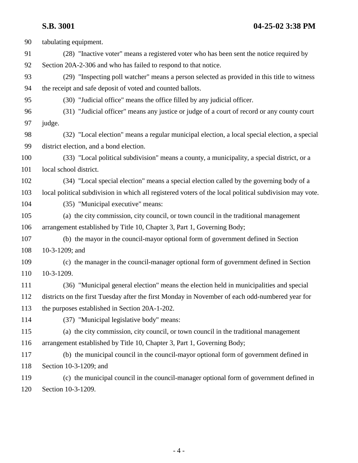**S.B. 3001 04-25-02 3:38 PM**

| 90  | tabulating equipment.                                                                                   |
|-----|---------------------------------------------------------------------------------------------------------|
| 91  | (28) "Inactive voter" means a registered voter who has been sent the notice required by                 |
| 92  | Section 20A-2-306 and who has failed to respond to that notice.                                         |
| 93  | (29) "Inspecting poll watcher" means a person selected as provided in this title to witness             |
| 94  | the receipt and safe deposit of voted and counted ballots.                                              |
| 95  | (30) "Judicial office" means the office filled by any judicial officer.                                 |
| 96  | (31) "Judicial officer" means any justice or judge of a court of record or any county court             |
| 97  | judge.                                                                                                  |
| 98  | (32) "Local election" means a regular municipal election, a local special election, a special           |
| 99  | district election, and a bond election.                                                                 |
| 100 | (33) "Local political subdivision" means a county, a municipality, a special district, or a             |
| 101 | local school district.                                                                                  |
| 102 | (34) "Local special election" means a special election called by the governing body of a                |
| 103 | local political subdivision in which all registered voters of the local political subdivision may vote. |
| 104 | (35) "Municipal executive" means:                                                                       |
| 105 | (a) the city commission, city council, or town council in the traditional management                    |
| 106 | arrangement established by Title 10, Chapter 3, Part 1, Governing Body;                                 |
| 107 | (b) the mayor in the council-mayor optional form of government defined in Section                       |
| 108 | 10-3-1209; and                                                                                          |
| 109 | (c) the manager in the council-manager optional form of government defined in Section                   |
| 110 | 10-3-1209.                                                                                              |
| 111 | (36) "Municipal general election" means the election held in municipalities and special                 |
| 112 | districts on the first Tuesday after the first Monday in November of each odd-numbered year for         |
| 113 | the purposes established in Section 20A-1-202.                                                          |
| 114 | (37) "Municipal legislative body" means:                                                                |
| 115 | (a) the city commission, city council, or town council in the traditional management                    |
| 116 | arrangement established by Title 10, Chapter 3, Part 1, Governing Body;                                 |
| 117 | (b) the municipal council in the council-mayor optional form of government defined in                   |
| 118 | Section 10-3-1209; and                                                                                  |
| 119 | (c) the municipal council in the council-manager optional form of government defined in                 |
| 120 | Section 10-3-1209.                                                                                      |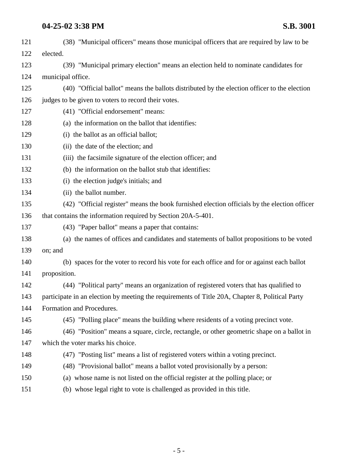| 121 | (38) "Municipal officers" means those municipal officers that are required by law to be         |
|-----|-------------------------------------------------------------------------------------------------|
| 122 | elected.                                                                                        |
| 123 | (39) "Municipal primary election" means an election held to nominate candidates for             |
| 124 | municipal office.                                                                               |
| 125 | (40) "Official ballot" means the ballots distributed by the election officer to the election    |
| 126 | judges to be given to voters to record their votes.                                             |
| 127 | (41) "Official endorsement" means:                                                              |
| 128 | (a) the information on the ballot that identifies:                                              |
| 129 | (i) the ballot as an official ballot;                                                           |
| 130 | (ii) the date of the election; and                                                              |
| 131 | (iii) the facsimile signature of the election officer; and                                      |
| 132 | (b) the information on the ballot stub that identifies:                                         |
| 133 | (i) the election judge's initials; and                                                          |
| 134 | (ii) the ballot number.                                                                         |
| 135 | (42) "Official register" means the book furnished election officials by the election officer    |
| 136 | that contains the information required by Section 20A-5-401.                                    |
| 137 | (43) "Paper ballot" means a paper that contains:                                                |
| 138 | (a) the names of offices and candidates and statements of ballot propositions to be voted       |
| 139 | on; and                                                                                         |
| 140 | (b) spaces for the voter to record his vote for each office and for or against each ballot      |
| 141 | proposition.                                                                                    |
| 142 | (44) "Political party" means an organization of registered voters that has qualified to         |
| 143 | participate in an election by meeting the requirements of Title 20A, Chapter 8, Political Party |
| 144 | Formation and Procedures.                                                                       |
| 145 | (45) "Polling place" means the building where residents of a voting precinct vote.              |
| 146 | (46) "Position" means a square, circle, rectangle, or other geometric shape on a ballot in      |
| 147 | which the voter marks his choice.                                                               |
| 148 | (47) "Posting list" means a list of registered voters within a voting precinct.                 |
| 149 | (48) "Provisional ballot" means a ballot voted provisionally by a person:                       |
| 150 | (a) whose name is not listed on the official register at the polling place; or                  |
| 151 | (b) whose legal right to vote is challenged as provided in this title.                          |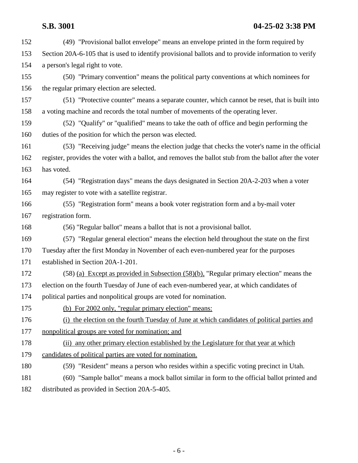**S.B. 3001 04-25-02 3:38 PM** 152 (49) "Provisional ballot envelope" means an envelope printed in the form required by 153 Section 20A-6-105 that is used to identify provisional ballots and to provide information to verify 154 a person's legal right to vote. 155 (50) "Primary convention" means the political party conventions at which nominees for 156 the regular primary election are selected. 157 (51) "Protective counter" means a separate counter, which cannot be reset, that is built into 158 a voting machine and records the total number of movements of the operating lever. 159 (52) "Qualify" or "qualified" means to take the oath of office and begin performing the 160 duties of the position for which the person was elected. 161 (53) "Receiving judge" means the election judge that checks the voter's name in the official 162 register, provides the voter with a ballot, and removes the ballot stub from the ballot after the voter 163 has voted. 164 (54) "Registration days" means the days designated in Section 20A-2-203 when a voter 165 may register to vote with a satellite registrar. 166 (55) "Registration form" means a book voter registration form and a by-mail voter 167 registration form. 168 (56) "Regular ballot" means a ballot that is not a provisional ballot. 169 (57) "Regular general election" means the election held throughout the state on the first 170 Tuesday after the first Monday in November of each even-numbered year for the purposes 171 established in Section 20A-1-201. 172 (58) (a) Except as provided in Subsection (58)(b), "Regular primary election" means the 173 election on the fourth Tuesday of June of each even-numbered year, at which candidates of 174 political parties and nonpolitical groups are voted for nomination. 175 (b) For 2002 only, "regular primary election" means: 176 (i) the election on the fourth Tuesday of June at which candidates of political parties and 177 nonpolitical groups are voted for nomination; and 178 (ii) any other primary election established by the Legislature for that year at which 179 candidates of political parties are voted for nomination. 180 (59) "Resident" means a person who resides within a specific voting precinct in Utah. 181 (60) "Sample ballot" means a mock ballot similar in form to the official ballot printed and 182 distributed as provided in Section 20A-5-405.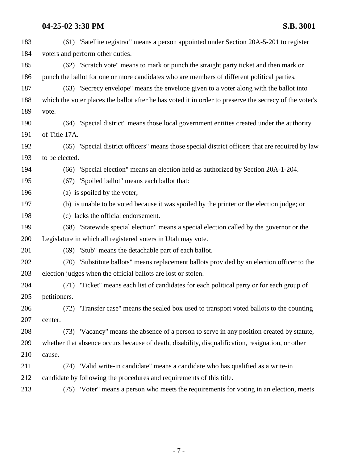| 183 | (61) "Satellite registrar" means a person appointed under Section 20A-5-201 to register                 |
|-----|---------------------------------------------------------------------------------------------------------|
| 184 | voters and perform other duties.                                                                        |
| 185 | (62) "Scratch vote" means to mark or punch the straight party ticket and then mark or                   |
| 186 | punch the ballot for one or more candidates who are members of different political parties.             |
| 187 | (63) "Secrecy envelope" means the envelope given to a voter along with the ballot into                  |
| 188 | which the voter places the ballot after he has voted it in order to preserve the secrecy of the voter's |
| 189 | vote.                                                                                                   |
| 190 | (64) "Special district" means those local government entities created under the authority               |
| 191 | of Title 17A.                                                                                           |
| 192 | (65) "Special district officers" means those special district officers that are required by law         |
| 193 | to be elected.                                                                                          |
| 194 | (66) "Special election" means an election held as authorized by Section 20A-1-204.                      |
| 195 | (67) "Spoiled ballot" means each ballot that:                                                           |
| 196 | (a) is spoiled by the voter;                                                                            |
| 197 | (b) is unable to be voted because it was spoiled by the printer or the election judge; or               |
| 198 | (c) lacks the official endorsement.                                                                     |
| 199 | (68) "Statewide special election" means a special election called by the governor or the                |
| 200 | Legislature in which all registered voters in Utah may vote.                                            |
| 201 | (69) "Stub" means the detachable part of each ballot.                                                   |
| 202 | (70) "Substitute ballots" means replacement ballots provided by an election officer to the              |
| 203 | election judges when the official ballots are lost or stolen.                                           |
| 204 | (71) "Ticket" means each list of candidates for each political party or for each group of               |
| 205 | petitioners.                                                                                            |
| 206 | (72) "Transfer case" means the sealed box used to transport voted ballots to the counting               |
| 207 | center.                                                                                                 |
| 208 | (73) "Vacancy" means the absence of a person to serve in any position created by statute,               |
| 209 | whether that absence occurs because of death, disability, disqualification, resignation, or other       |
| 210 | cause.                                                                                                  |
| 211 | (74) "Valid write-in candidate" means a candidate who has qualified as a write-in                       |
| 212 | candidate by following the procedures and requirements of this title.                                   |
| 213 | (75) "Voter" means a person who meets the requirements for voting in an election, meets                 |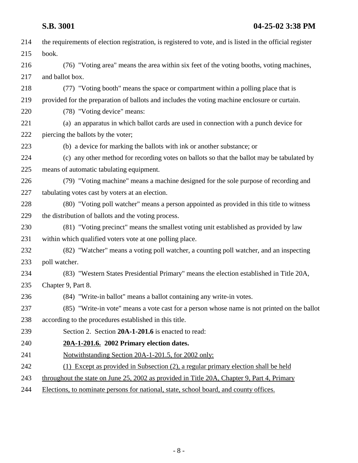| 214 | the requirements of election registration, is registered to vote, and is listed in the official register |
|-----|----------------------------------------------------------------------------------------------------------|
| 215 | book.                                                                                                    |
| 216 | (76) "Voting area" means the area within six feet of the voting booths, voting machines,                 |
| 217 | and ballot box.                                                                                          |
| 218 | (77) "Voting booth" means the space or compartment within a polling place that is                        |
| 219 | provided for the preparation of ballots and includes the voting machine enclosure or curtain.            |
| 220 | (78) "Voting device" means:                                                                              |
| 221 | (a) an apparatus in which ballot cards are used in connection with a punch device for                    |
| 222 | piercing the ballots by the voter;                                                                       |
| 223 | (b) a device for marking the ballots with ink or another substance; or                                   |
| 224 | (c) any other method for recording votes on ballots so that the ballot may be tabulated by               |
| 225 | means of automatic tabulating equipment.                                                                 |
| 226 | (79) "Voting machine" means a machine designed for the sole purpose of recording and                     |
| 227 | tabulating votes cast by voters at an election.                                                          |
| 228 | (80) "Voting poll watcher" means a person appointed as provided in this title to witness                 |
| 229 | the distribution of ballots and the voting process.                                                      |
| 230 | (81) "Voting precinct" means the smallest voting unit established as provided by law                     |
| 231 | within which qualified voters vote at one polling place.                                                 |
| 232 | (82) "Watcher" means a voting poll watcher, a counting poll watcher, and an inspecting                   |
| 233 | poll watcher.                                                                                            |
| 234 | (83) "Western States Presidential Primary" means the election established in Title 20A,                  |
| 235 | Chapter 9, Part 8.                                                                                       |
| 236 | (84) "Write-in ballot" means a ballot containing any write-in votes.                                     |
| 237 | (85) "Write-in vote" means a vote cast for a person whose name is not printed on the ballot              |
| 238 | according to the procedures established in this title.                                                   |
| 239 | Section 2. Section 20A-1-201.6 is enacted to read:                                                       |
| 240 | 20A-1-201.6. 2002 Primary election dates.                                                                |
| 241 | Notwithstanding Section 20A-1-201.5, for 2002 only:                                                      |
| 242 | (1) Except as provided in Subsection (2), a regular primary election shall be held                       |
| 243 | throughout the state on June 25, 2002 as provided in Title 20A, Chapter 9, Part 4, Primary               |
| 244 | Elections, to nominate persons for national, state, school board, and county offices.                    |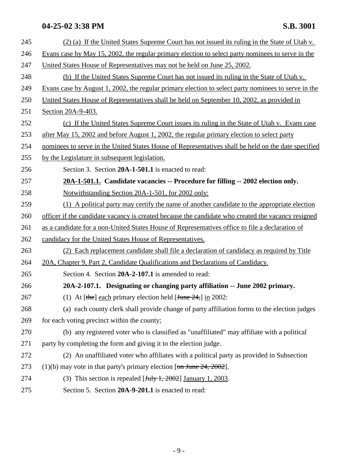| 245 | (2) (a) If the United States Supreme Court has not issued its ruling in the State of Utah v.                                                                          |
|-----|-----------------------------------------------------------------------------------------------------------------------------------------------------------------------|
| 246 | Evans case by May 15, 2002, the regular primary election to select party nominees to serve in the                                                                     |
| 247 | United States House of Representatives may not be held on June 25, 2002.                                                                                              |
| 248 | (b) If the United States Supreme Court has not issued its ruling in the State of Utah v.                                                                              |
| 249 | Evans case by August 1, 2002, the regular primary election to select party nominees to serve in the                                                                   |
| 250 | United States House of Representatives shall be held on September 10, 2002, as provided in                                                                            |
| 251 | Section 20A-9-403.                                                                                                                                                    |
| 252 | (c) If the United States Supreme Court issues its ruling in the State of Utah v. Evans case                                                                           |
| 253 | after May 15, 2002 and before August 1, 2002, the regular primary election to select party                                                                            |
| 254 | nominees to serve in the United States House of Representatives shall be held on the date specified                                                                   |
| 255 | by the Legislature in subsequent legislation.                                                                                                                         |
| 256 | Section 3. Section 20A-1-501.1 is enacted to read:                                                                                                                    |
| 257 | 20A-1-501.1. Candidate vacancies -- Procedure for filling -- 2002 election only.                                                                                      |
| 258 | Notwithstanding Section 20A-1-501, for 2002 only:                                                                                                                     |
| 259 | (1) A political party may certify the name of another candidate to the appropriate election                                                                           |
| 260 | officer if the candidate vacancy is created because the candidate who created the vacancy resigned                                                                    |
| 261 | as a candidate for a non-United States House of Representatives office to file a declaration of                                                                       |
| 262 | candidacy for the United States House of Representatives.                                                                                                             |
| 263 | (2) Each replacement candidate shall file a declaration of candidacy as required by Title                                                                             |
| 264 | 20A, Chapter 9, Part 2, Candidate Qualifications and Declarations of Candidacy.                                                                                       |
| 265 | Section 4. Section 20A-2-107.1 is amended to read:                                                                                                                    |
| 266 | 20A-2-107.1. Designating or changing party affiliation -- June 2002 primary.                                                                                          |
| 267 | (1) At $[\frac{1}{2} \text{ the } \frac{1}{2} \text{ each primary}$ election held $[\frac{1}{2} \text{ the } \frac{1}{2} \text{ the } \frac{1}{2} \text{ in } 2002$ : |
| 268 | (a) each county clerk shall provide change of party affiliation forms to the election judges                                                                          |
| 269 | for each voting precinct within the county;                                                                                                                           |
| 270 | (b) any registered voter who is classified as "unaffiliated" may affiliate with a political                                                                           |
| 271 | party by completing the form and giving it to the election judge.                                                                                                     |
| 272 | (2) An unaffiliated voter who affiliates with a political party as provided in Subsection                                                                             |
| 273 | $(1)(b)$ may vote in that party's primary election [on June 24, 2002].                                                                                                |
| 274 | (3) This section is repealed $\left[\frac{\text{July }1, 2002}{\text{Identity }1, 2003}\right]$ .                                                                     |
| 275 | Section 5. Section 20A-9-201.1 is enacted to read:                                                                                                                    |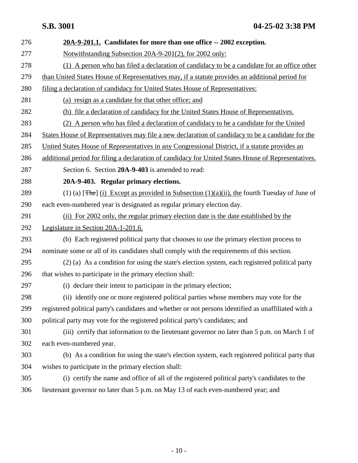276 **20A-9-201.1. Candidates for more than one office -- 2002 exception.** 277 Notwithstanding Subsection 20A-9-201(2), for 2002 only: 278 (1) A person who has filed a declaration of candidacy to be a candidate for an office other 279 than United States House of Representatives may, if a statute provides an additional period for 280 filing a declaration of candidacy for United States House of Representatives: 281 (a) resign as a candidate for that other office; and 282 (b) file a declaration of candidacy for the United States House of Representatives. 283 (2) A person who has filed a declaration of candidacy to be a candidate for the United 284 States House of Representatives may file a new declaration of candidacy to be a candidate for the 285 United States House of Representatives in any Congressional District, if a statute provides an 286 additional period for filing a declaration of candidacy for United States House of Representatives. 287 Section 6. Section **20A-9-403** is amended to read: 288 **20A-9-403. Regular primary elections.** 289 (1) (a) [The] (i) Except as provided in Subsection  $(1)(a)(ii)$ , the fourth Tuesday of June of 290 each even-numbered year is designated as regular primary election day. 291 (ii) For 2002 only, the regular primary election date is the date established by the 292 Legislature in Section 20A-1-201.6. 293 (b) Each registered political party that chooses to use the primary election process to 294 nominate some or all of its candidates shall comply with the requirements of this section. 295 (2) (a) As a condition for using the state's election system, each registered political party 296 that wishes to participate in the primary election shall: 297 (i) declare their intent to participate in the primary election; 298 (ii) identify one or more registered political parties whose members may vote for the 299 registered political party's candidates and whether or not persons identified as unaffiliated with a 300 political party may vote for the registered political party's candidates; and 301 (iii) certify that information to the lieutenant governor no later than 5 p.m. on March 1 of 302 each even-numbered year. 303 (b) As a condition for using the state's election system, each registered political party that 304 wishes to participate in the primary election shall: 305 (i) certify the name and office of all of the registered political party's candidates to the 306 lieutenant governor no later than 5 p.m. on May 13 of each even-numbered year; and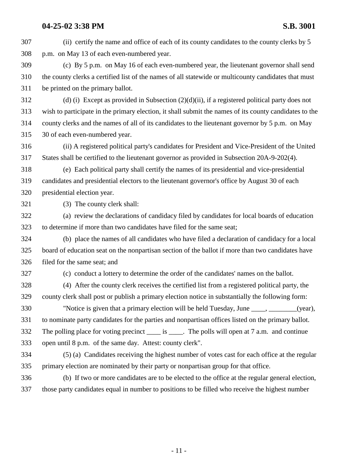307 (ii) certify the name and office of each of its county candidates to the county clerks by 5 308 p.m. on May 13 of each even-numbered year. 309 (c) By 5 p.m. on May 16 of each even-numbered year, the lieutenant governor shall send 310 the county clerks a certified list of the names of all statewide or multicounty candidates that must 311 be printed on the primary ballot. 312 (d) (i) Except as provided in Subsection  $(2)(d)(ii)$ , if a registered political party does not 313 wish to participate in the primary election, it shall submit the names of its county candidates to the 314 county clerks and the names of all of its candidates to the lieutenant governor by 5 p.m. on May 315 30 of each even-numbered year. 316 (ii) A registered political party's candidates for President and Vice-President of the United 317 States shall be certified to the lieutenant governor as provided in Subsection 20A-9-202(4). 318 (e) Each political party shall certify the names of its presidential and vice-presidential 319 candidates and presidential electors to the lieutenant governor's office by August 30 of each 320 presidential election year. 321 (3) The county clerk shall: 322 (a) review the declarations of candidacy filed by candidates for local boards of education 323 to determine if more than two candidates have filed for the same seat; 324 (b) place the names of all candidates who have filed a declaration of candidacy for a local 325 board of education seat on the nonpartisan section of the ballot if more than two candidates have 326 filed for the same seat; and 327 (c) conduct a lottery to determine the order of the candidates' names on the ballot. 328 (4) After the county clerk receives the certified list from a registered political party, the 329 county clerk shall post or publish a primary election notice in substantially the following form: 330 "Notice is given that a primary election will be held Tuesday, June \_\_\_\_, \_\_\_\_\_\_\_\_(year), 331 to nominate party candidates for the parties and nonpartisan offices listed on the primary ballot. 332 The polling place for voting precinct is The polls will open at 7 a.m. and continue 333 open until 8 p.m. of the same day. Attest: county clerk". 334 (5) (a) Candidates receiving the highest number of votes cast for each office at the regular 335 primary election are nominated by their party or nonpartisan group for that office. 336 (b) If two or more candidates are to be elected to the office at the regular general election, 337 those party candidates equal in number to positions to be filled who receive the highest number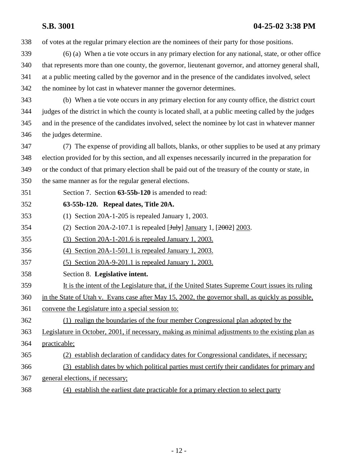338 of votes at the regular primary election are the nominees of their party for those positions.

- 339 (6) (a) When a tie vote occurs in any primary election for any national, state, or other office 340 that represents more than one county, the governor, lieutenant governor, and attorney general shall, 341 at a public meeting called by the governor and in the presence of the candidates involved, select 342 the nominee by lot cast in whatever manner the governor determines.
- 

343 (b) When a tie vote occurs in any primary election for any county office, the district court 344 judges of the district in which the county is located shall, at a public meeting called by the judges 345 and in the presence of the candidates involved, select the nominee by lot cast in whatever manner 346 the judges determine.

347 (7) The expense of providing all ballots, blanks, or other supplies to be used at any primary 348 election provided for by this section, and all expenses necessarily incurred in the preparation for 349 or the conduct of that primary election shall be paid out of the treasury of the county or state, in 350 the same manner as for the regular general elections.

- 351 Section 7. Section **63-55b-120** is amended to read:
- 352 **63-55b-120. Repeal dates, Title 20A.**
- 353 (1) Section 20A-1-205 is repealed January 1, 2003.
- 354 (2) Section 20A-2-107.1 is repealed  $[\frac{\text{Hulv}}{\text{Hulv}}]$  January 1,  $[\frac{2002}{2003}]$ .
- 355 (3) Section 20A-1-201.6 is repealed January 1, 2003.
- 356 (4) Section 20A-1-501.1 is repealed January 1, 2003.
- 357 (5) Section 20A-9-201.1 is repealed January 1, 2003.
- 358 Section 8. **Legislative intent.**
- 359 It is the intent of the Legislature that, if the United States Supreme Court issues its ruling
- 360 in the State of Utah v. Evans case after May 15, 2002, the governor shall, as quickly as possible,
- 361 convene the Legislature into a special session to:
- 362 (1) realign the boundaries of the four member Congressional plan adopted by the
- 363 Legislature in October, 2001, if necessary, making as minimal adjustments to the existing plan as
- 364 practicable;
- 365 (2) establish declaration of candidacy dates for Congressional candidates, if necessary;
- 366 (3) establish dates by which political parties must certify their candidates for primary and
- 367 general elections, if necessary;
- 368 (4) establish the earliest date practicable for a primary election to select party